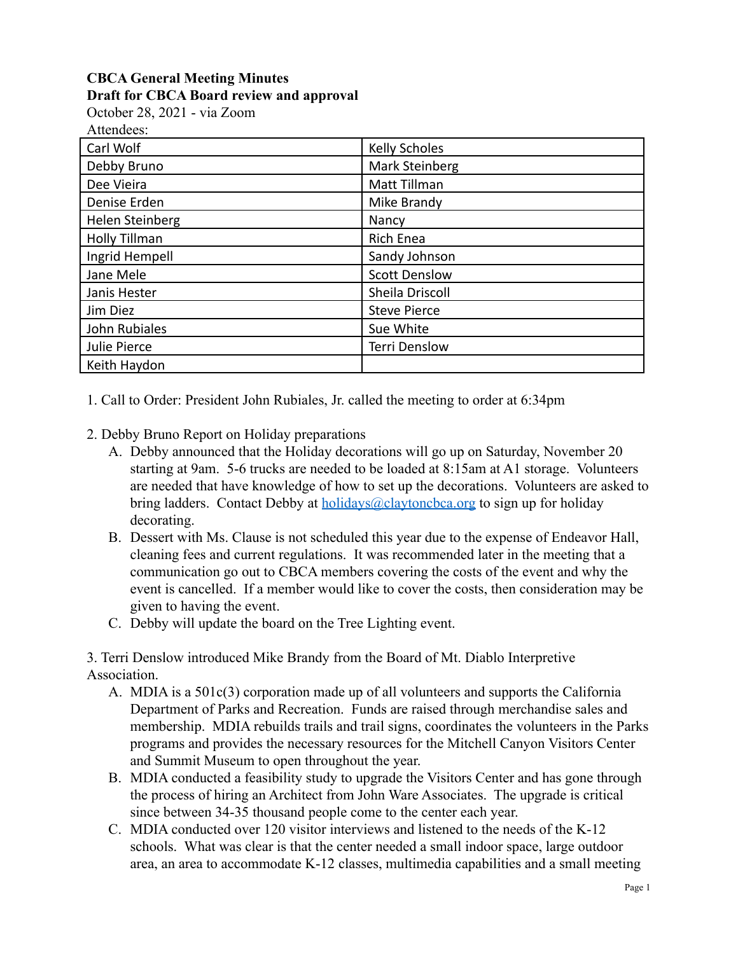## **CBCA General Meeting Minutes Draft for CBCA Board review and approval**

October 28, 2021 - via Zoom

|--|

| Carl Wolf       | <b>Kelly Scholes</b> |
|-----------------|----------------------|
| Debby Bruno     | Mark Steinberg       |
| Dee Vieira      | Matt Tillman         |
| Denise Erden    | Mike Brandy          |
| Helen Steinberg | Nancy                |
| Holly Tillman   | Rich Enea            |
| Ingrid Hempell  | Sandy Johnson        |
| Jane Mele       | <b>Scott Denslow</b> |
| Janis Hester    | Sheila Driscoll      |
| Jim Diez        | <b>Steve Pierce</b>  |
| John Rubiales   | Sue White            |
| Julie Pierce    | <b>Terri Denslow</b> |
| Keith Haydon    |                      |

1. Call to Order: President John Rubiales, Jr. called the meeting to order at 6:34pm

- 2. Debby Bruno Report on Holiday preparations
	- A. Debby announced that the Holiday decorations will go up on Saturday, November 20 starting at 9am. 5-6 trucks are needed to be loaded at 8:15am at A1 storage. Volunteers are needed that have knowledge of how to set up the decorations. Volunteers are asked to bring ladders. Contact Debby at **holidays**@claytoncbca.org to sign up for holiday decorating.
	- B. Dessert with Ms. Clause is not scheduled this year due to the expense of Endeavor Hall, cleaning fees and current regulations. It was recommended later in the meeting that a communication go out to CBCA members covering the costs of the event and why the event is cancelled. If a member would like to cover the costs, then consideration may be given to having the event.
	- C. Debby will update the board on the Tree Lighting event.

3. Terri Denslow introduced Mike Brandy from the Board of Mt. Diablo Interpretive Association.

- A. MDIA is a 501c(3) corporation made up of all volunteers and supports the California Department of Parks and Recreation. Funds are raised through merchandise sales and membership. MDIA rebuilds trails and trail signs, coordinates the volunteers in the Parks programs and provides the necessary resources for the Mitchell Canyon Visitors Center and Summit Museum to open throughout the year.
- B. MDIA conducted a feasibility study to upgrade the Visitors Center and has gone through the process of hiring an Architect from John Ware Associates. The upgrade is critical since between 34-35 thousand people come to the center each year.
- C. MDIA conducted over 120 visitor interviews and listened to the needs of the K-12 schools. What was clear is that the center needed a small indoor space, large outdoor area, an area to accommodate K-12 classes, multimedia capabilities and a small meeting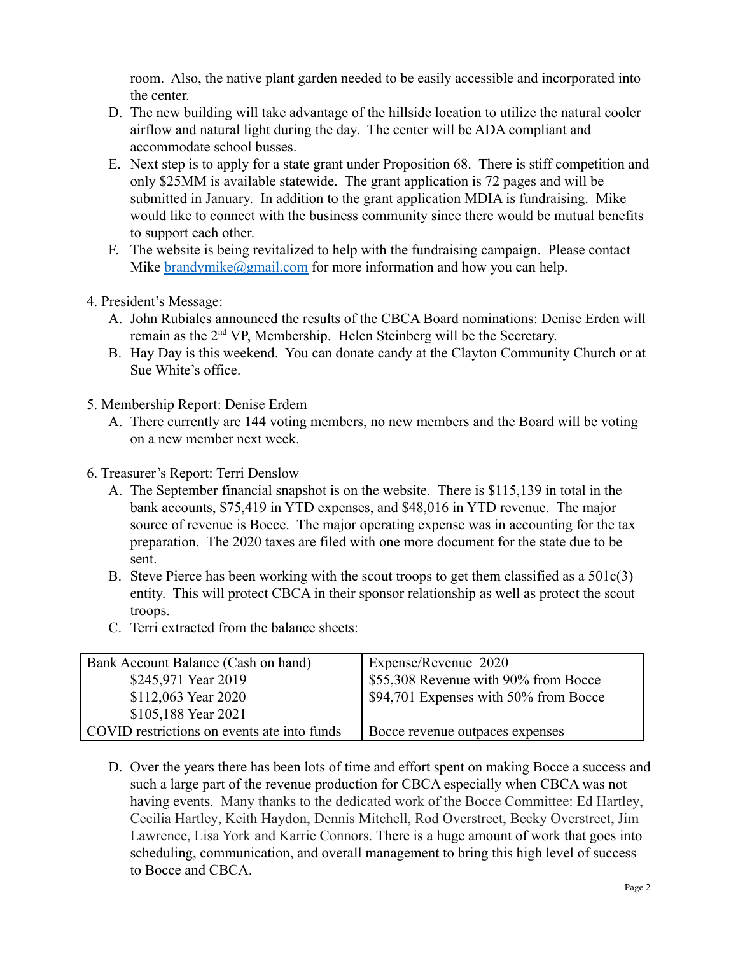room. Also, the native plant garden needed to be easily accessible and incorporated into the center.

- D. The new building will take advantage of the hillside location to utilize the natural cooler airflow and natural light during the day. The center will be ADA compliant and accommodate school busses.
- E. Next step is to apply for a state grant under Proposition 68. There is stiff competition and only \$25MM is available statewide. The grant application is 72 pages and will be submitted in January. In addition to the grant application MDIA is fundraising. Mike would like to connect with the business community since there would be mutual benefits to support each other.
- F. The website is being revitalized to help with the fundraising campaign. Please contact Mike [brandymike@gmail.com](mailto:brandymike@gmail.com) for more information and how you can help.
- 4. President's Message:
	- A. John Rubiales announced the results of the CBCA Board nominations: Denise Erden will remain as the 2nd VP, Membership. Helen Steinberg will be the Secretary.
	- B. Hay Day is this weekend. You can donate candy at the Clayton Community Church or at Sue White's office.
- 5. Membership Report: Denise Erdem
	- A. There currently are 144 voting members, no new members and the Board will be voting on a new member next week.
- 6. Treasurer's Report: Terri Denslow
	- A. The September financial snapshot is on the website. There is \$115,139 in total in the bank accounts, \$75,419 in YTD expenses, and \$48,016 in YTD revenue. The major source of revenue is Bocce. The major operating expense was in accounting for the tax preparation. The 2020 taxes are filed with one more document for the state due to be sent.
	- B. Steve Pierce has been working with the scout troops to get them classified as a  $501c(3)$ entity. This will protect CBCA in their sponsor relationship as well as protect the scout troops.
	- C. Terri extracted from the balance sheets:

| Bank Account Balance (Cash on hand)         | Expense/Revenue 2020                  |
|---------------------------------------------|---------------------------------------|
| \$245,971 Year 2019                         | \$55,308 Revenue with 90% from Bocce  |
| \$112,063 Year 2020                         | \$94,701 Expenses with 50% from Bocce |
| \$105,188 Year 2021                         |                                       |
| COVID restrictions on events ate into funds | Bocce revenue outpaces expenses       |

D. Over the years there has been lots of time and effort spent on making Bocce a success and such a large part of the revenue production for CBCA especially when CBCA was not having events. Many thanks to the dedicated work of the Bocce Committee: Ed Hartley, Cecilia Hartley, Keith Haydon, Dennis Mitchell, Rod Overstreet, Becky Overstreet, Jim Lawrence, Lisa York and Karrie Connors. There is a huge amount of work that goes into scheduling, communication, and overall management to bring this high level of success to Bocce and CBCA.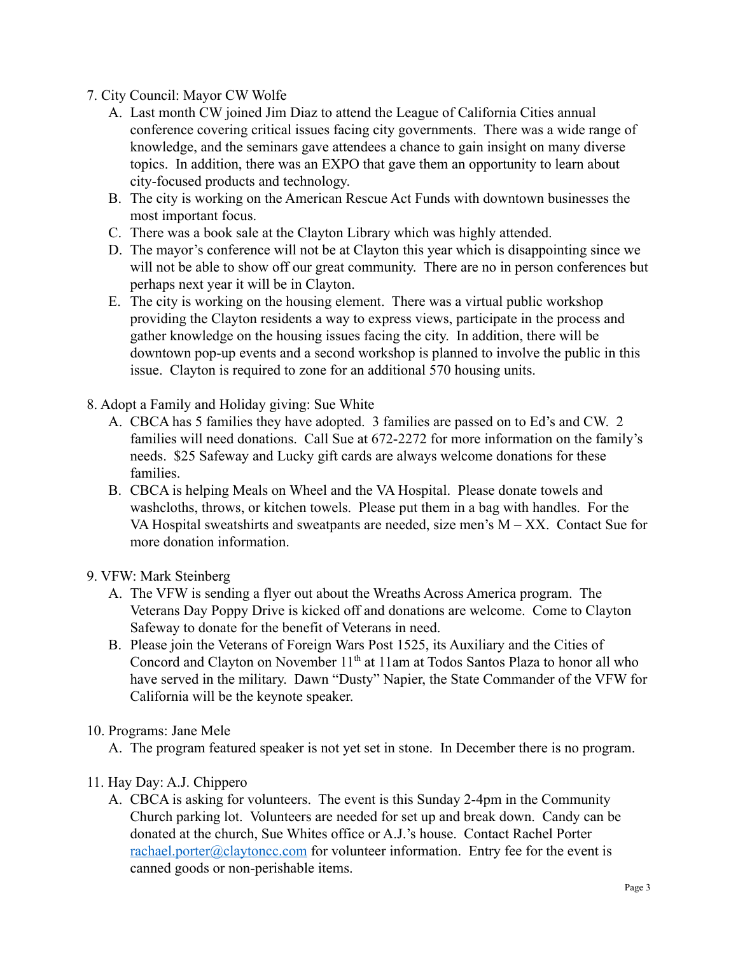## 7. City Council: Mayor CW Wolfe

- A. Last month CW joined Jim Diaz to attend the League of California Cities annual conference covering critical issues facing city governments. There was a wide range of knowledge, and the seminars gave attendees a chance to gain insight on many diverse topics. In addition, there was an EXPO that gave them an opportunity to learn about city-focused products and technology.
- B. The city is working on the American Rescue Act Funds with downtown businesses the most important focus.
- C. There was a book sale at the Clayton Library which was highly attended.
- D. The mayor's conference will not be at Clayton this year which is disappointing since we will not be able to show off our great community. There are no in person conferences but perhaps next year it will be in Clayton.
- E. The city is working on the housing element. There was a virtual public workshop providing the Clayton residents a way to express views, participate in the process and gather knowledge on the housing issues facing the city. In addition, there will be downtown pop-up events and a second workshop is planned to involve the public in this issue. Clayton is required to zone for an additional 570 housing units.
- 8. Adopt a Family and Holiday giving: Sue White
	- A. CBCA has 5 families they have adopted. 3 families are passed on to Ed's and CW. 2 families will need donations. Call Sue at 672-2272 for more information on the family's needs. \$25 Safeway and Lucky gift cards are always welcome donations for these families.
	- B. CBCA is helping Meals on Wheel and the VA Hospital. Please donate towels and washcloths, throws, or kitchen towels. Please put them in a bag with handles. For the VA Hospital sweatshirts and sweatpants are needed, size men's  $M - XX$ . Contact Sue for more donation information.

## 9. VFW: Mark Steinberg

- A. The VFW is sending a flyer out about the Wreaths Across America program. The Veterans Day Poppy Drive is kicked off and donations are welcome. Come to Clayton Safeway to donate for the benefit of Veterans in need.
- B. Please join the Veterans of Foreign Wars Post 1525, its Auxiliary and the Cities of Concord and Clayton on November 11<sup>th</sup> at 11am at Todos Santos Plaza to honor all who have served in the military. Dawn "Dusty" Napier, the State Commander of the VFW for California will be the keynote speaker.
- 10. Programs: Jane Mele

A. The program featured speaker is not yet set in stone. In December there is no program.

- 11. Hay Day: A.J. Chippero
	- A. CBCA is asking for volunteers. The event is this Sunday 2-4pm in the Community Church parking lot. Volunteers are needed for set up and break down. Candy can be donated at the church, Sue Whites office or A.J.'s house. Contact Rachel Porter [rachael.porter@claytoncc.com](mailto:rachael.porter@claytoncc.com) for volunteer information. Entry fee for the event is canned goods or non-perishable items.